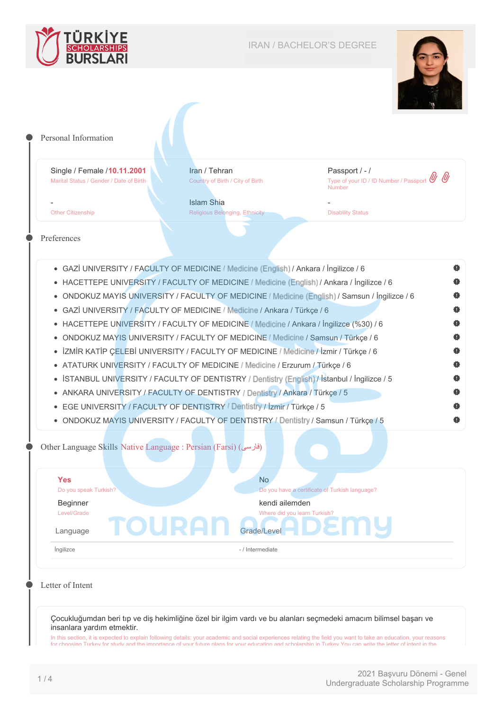



| Single / Female / 10.11.2001<br>Marital Status / Gender / Date of Birth | Iran / Tehran<br>Country of Birth / City of Birth                                                                                                               | Passport / - /<br>Type of your ID / ID Number / Passport<br><b>Number</b> |  |
|-------------------------------------------------------------------------|-----------------------------------------------------------------------------------------------------------------------------------------------------------------|---------------------------------------------------------------------------|--|
| <b>Other Citizenship</b>                                                | <b>Islam Shia</b><br><b>Religious Belonging, Ethnicity</b>                                                                                                      | <b>Disability Status</b>                                                  |  |
| Preferences                                                             |                                                                                                                                                                 |                                                                           |  |
|                                                                         | • GAZİ UNIVERSITY / FACULTY OF MEDICINE / Medicine (English) / Ankara / İngilizce / 6                                                                           |                                                                           |  |
|                                                                         | • HACETTEPE UNIVERSITY / FACULTY OF MEDICINE / Medicine (English) / Ankara / İngilizce / 6                                                                      |                                                                           |  |
|                                                                         | • ONDOKUZ MAYIS UNIVERSITY / FACULTY OF MEDICINE / Medicine (English) / Samsun / Ingilizce / 6                                                                  |                                                                           |  |
|                                                                         | • GAZİ UNIVERSITY / FACULTY OF MEDICINE / Medicine / Ankara / Türkçe / 6                                                                                        |                                                                           |  |
|                                                                         | • HACETTEPE UNIVERSITY / FACULTY OF MEDICINE / Medicine / Ankara / İngilizce (%30) / 6                                                                          |                                                                           |  |
|                                                                         |                                                                                                                                                                 |                                                                           |  |
|                                                                         | · ONDOKUZ MAYIS UNIVERSITY / FACULTY OF MEDICINE / Medicine / Samsun / Türkçe / 6                                                                               |                                                                           |  |
| $\bullet$                                                               | İZMİR KATİP ÇELEBİ UNIVERSITY / FACULTY OF MEDICINE / Medicine / İzmir / Türkçe / 6                                                                             |                                                                           |  |
|                                                                         | • ATATURK UNIVERSITY / FACULTY OF MEDICINE / Medicine / Erzurum / Türkçe / 6                                                                                    |                                                                           |  |
|                                                                         | • İSTANBUL UNIVERSITY / FACULTY OF DENTISTRY / Dentistry (English) / İstanbul / İngilizce / 5                                                                   |                                                                           |  |
|                                                                         | • ANKARA UNIVERSITY / FACULTY OF DENTISTRY / Dentistry / Ankara / Türkçe / 5                                                                                    |                                                                           |  |
|                                                                         | • EGE UNIVERSITY / FACULTY OF DENTISTRY / Dentistry / İzmir / Türkçe / 5<br>• ONDOKUZ MAYIS UNIVERSITY / FACULTY OF DENTISTRY / Dentistry / Samsun / Türkçe / 5 |                                                                           |  |
| Other Language Skills Native Language : Persian (Farsi) (فارسی)         |                                                                                                                                                                 |                                                                           |  |
| <b>Yes</b>                                                              | <b>No</b>                                                                                                                                                       |                                                                           |  |
| Do you speak Turkish?                                                   |                                                                                                                                                                 | Do you have a certificate of Turkish language?                            |  |
| <b>Beginner</b><br>Level/Grade                                          | kendi ailemden                                                                                                                                                  | Where did you learn Turkish?                                              |  |
| TOURA<br>Language                                                       | Grade/Level                                                                                                                                                     |                                                                           |  |
| Ingilizce                                                               | - / Intermediate                                                                                                                                                |                                                                           |  |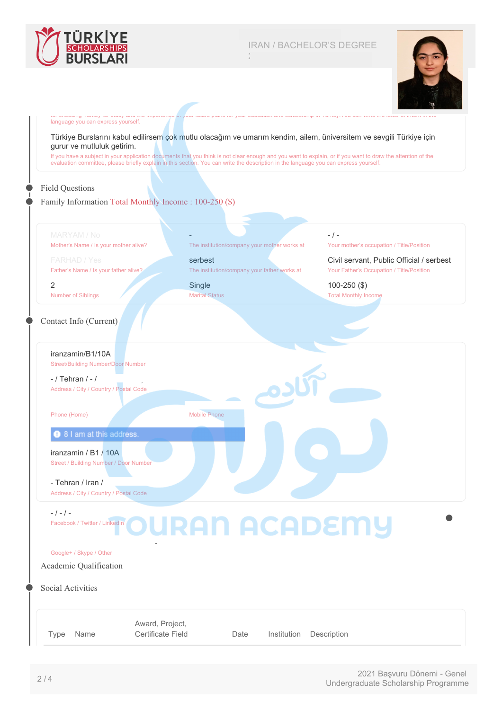

2018837200 / 21IR014443

- / -

100-250 (\$) Total Monthly Income

Your mother's occupation / Title/Position

Civil servant, Public Official / serbest Your Father's Occupation / Title/Position



#### for choosing Turkey for study and the importance of your future plans for your education and scholarship in Turkey.You can write the letter of intent in the language you can express yourself.

Türkiye Burslarını kabul edilirsem çok mutlu olacağım ve umarım kendim, ailem, üniversitem ve sevgili Türkiye için gurur ve mutluluk getirim.

If you have a subject in your application documents that you think is not clear enough and you want to explain, or if you want to draw the attention of the evaluation committee, please briefly explain in this section. You can write the description in the language you can express yourself.

The institution/company your mother works at

The institution/company your father works at

### Field Questions

#### Family Information Total Monthly Income : 100-250 (\$)

-

serbest

Single Marital Status

Mobile Phone

Mother's Name / Is your mother alive?

Father's Name / Is your father alive?

2 Number of Siblings

#### Contact Info (Current)

iranzamin/B1/10A Street/Building Number/Door Number

 $-$  / Tehran  $/ -$  / Address / City / Country / Postal Code

Phone (Home)

#### **O** 8 I am at this address.

iranzamin / B1 / 10A Street / Building Number / Door Number

- Tehran / Iran /

Address / City / Country / Postal Code

zareianshailin@gmail.com / - / -

### $-$  /  $-$  /  $-$

Facebook / Twitter / LinkedIn

#### Google+ / Skype / Other

Academic Qualification

Social Activities

Type Name Award, Project, Certificate Field Date Institution Description

**URAN ACADEMY** 

2021 Başvuru Dönemi - Genel Undergraduate Scholarship Programme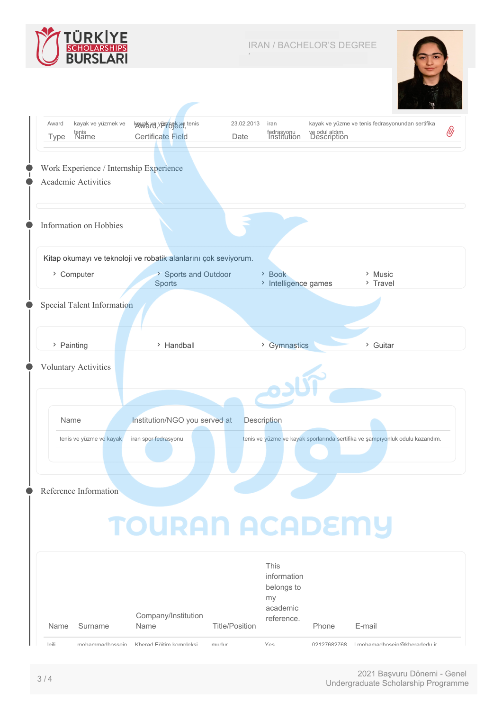

2018837200 / 21IR014443



|            | kayak ve yüzmek ve          | kawak wa yizaraek xe tenis                                      | 23.02.2013            | iran                      |                               | kayak ve yüzme ve tenis fedrasyonundan sertifika                             |  |
|------------|-----------------------------|-----------------------------------------------------------------|-----------------------|---------------------------|-------------------------------|------------------------------------------------------------------------------|--|
| Type       | tenis<br>Name               | <b>Certificate Field</b>                                        | Date                  | fedrasyonu<br>Institution | ve odul aldım.<br>Description |                                                                              |  |
|            |                             |                                                                 |                       |                           |                               |                                                                              |  |
|            |                             | Work Experience / Internship Experience                         |                       |                           |                               |                                                                              |  |
|            | Academic Activities         |                                                                 |                       |                           |                               |                                                                              |  |
|            |                             |                                                                 |                       |                           |                               |                                                                              |  |
|            |                             |                                                                 |                       |                           |                               |                                                                              |  |
|            | Information on Hobbies      |                                                                 |                       |                           |                               |                                                                              |  |
|            |                             |                                                                 |                       |                           |                               |                                                                              |  |
|            |                             | Kitap okumayı ve teknoloji ve robatik alanlarını çok seviyorum. |                       |                           |                               |                                                                              |  |
|            | > Computer                  | > Sports and Outdoor                                            |                       | > Book                    |                               | > Music                                                                      |  |
|            |                             | <b>Sports</b>                                                   |                       | > Intelligence games      |                               | > Travel                                                                     |  |
|            |                             |                                                                 |                       |                           |                               |                                                                              |  |
|            | Special Talent Information  |                                                                 |                       |                           |                               |                                                                              |  |
|            |                             |                                                                 |                       |                           |                               |                                                                              |  |
| > Painting |                             | > Handball                                                      |                       | > Gymnastics              |                               | > Guitar                                                                     |  |
|            |                             |                                                                 |                       |                           |                               |                                                                              |  |
|            | <b>Voluntary Activities</b> |                                                                 |                       |                           |                               |                                                                              |  |
|            |                             |                                                                 |                       |                           |                               |                                                                              |  |
|            |                             |                                                                 |                       |                           |                               |                                                                              |  |
| Name       |                             | Institution/NGO you served at                                   |                       | <b>Description</b>        |                               |                                                                              |  |
|            | tenis ve yüzme ve kayak     | iran spor fedrasyonu                                            |                       |                           |                               | tenis ve yüzme ve kayak sporlarında sertifika ve şampıyonluk odulu kazandım. |  |
|            |                             |                                                                 |                       |                           |                               |                                                                              |  |
|            |                             |                                                                 |                       |                           |                               |                                                                              |  |
|            |                             |                                                                 |                       |                           |                               |                                                                              |  |
|            | Reference Information       |                                                                 |                       |                           |                               |                                                                              |  |
|            |                             |                                                                 |                       |                           |                               |                                                                              |  |
|            |                             |                                                                 |                       |                           |                               |                                                                              |  |
|            |                             |                                                                 |                       |                           |                               |                                                                              |  |
|            |                             | <b>TOURAN ACADEMY</b>                                           |                       |                           |                               |                                                                              |  |
|            |                             |                                                                 |                       |                           |                               |                                                                              |  |
|            |                             |                                                                 |                       | This                      |                               |                                                                              |  |
|            |                             |                                                                 |                       | information<br>belongs to |                               |                                                                              |  |
|            |                             |                                                                 |                       | my                        |                               |                                                                              |  |
|            |                             | Company/Institution<br>Name                                     | <b>Title/Position</b> | academic<br>reference.    | Phone                         |                                                                              |  |